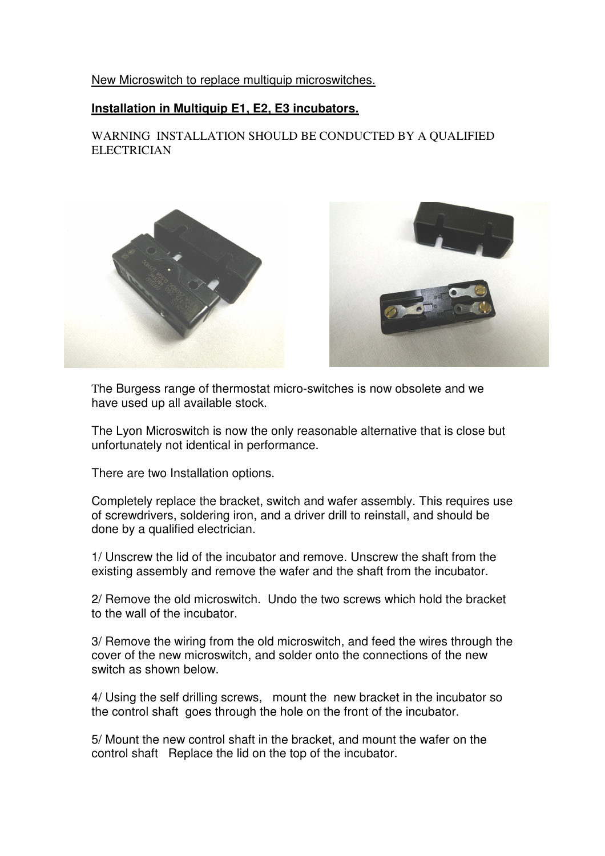## New Microswitch to replace multiquip microswitches.

## **Installation in Multiquip E1, E2, E3 incubators.**

WARNING INSTALLATION SHOULD BE CONDUCTED BY A QUALIFIED **ELECTRICIAN** 



The Burgess range of thermostat micro-switches is now obsolete and we have used up all available stock.

The Lyon Microswitch is now the only reasonable alternative that is close but unfortunately not identical in performance.

There are two Installation options.

Completely replace the bracket, switch and wafer assembly. This requires use of screwdrivers, soldering iron, and a driver drill to reinstall, and should be done by a qualified electrician.

1/ Unscrew the lid of the incubator and remove. Unscrew the shaft from the existing assembly and remove the wafer and the shaft from the incubator.

2/ Remove the old microswitch. Undo the two screws which hold the bracket to the wall of the incubator.

3/ Remove the wiring from the old microswitch, and feed the wires through the cover of the new microswitch, and solder onto the connections of the new switch as shown below.

4/ Using the self drilling screws, mount the new bracket in the incubator so the control shaft goes through the hole on the front of the incubator.

5/ Mount the new control shaft in the bracket, and mount the wafer on the control shaft Replace the lid on the top of the incubator.